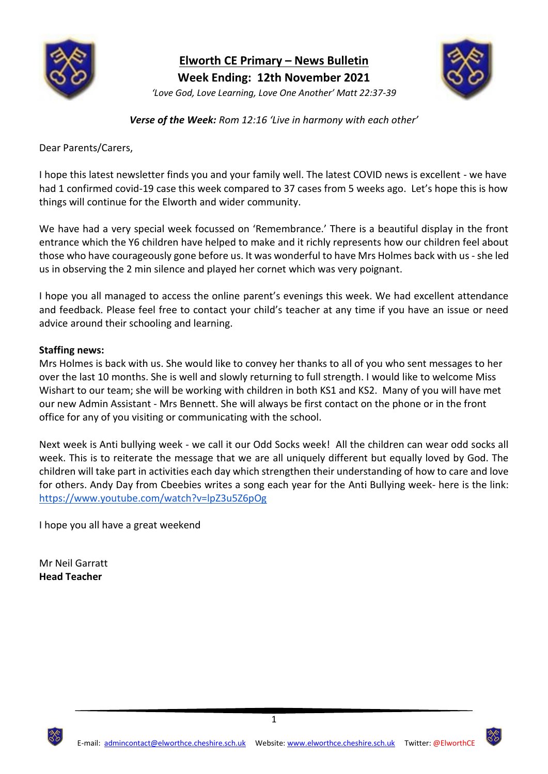

**Elworth CE Primary – News Bulletin Week Ending: 12th November 2021** *'Love God, Love Learning, Love One Another' Matt 22:37-39*



*Verse of the Week: Rom 12:16 'Live in harmony with each other'*

Dear Parents/Carers,

I hope this latest newsletter finds you and your family well. The latest COVID news is excellent - we have had 1 confirmed covid-19 case this week compared to 37 cases from 5 weeks ago. Let's hope this is how things will continue for the Elworth and wider community.

We have had a very special week focussed on 'Remembrance.' There is a beautiful display in the front entrance which the Y6 children have helped to make and it richly represents how our children feel about those who have courageously gone before us. It was wonderful to have Mrs Holmes back with us - she led us in observing the 2 min silence and played her cornet which was very poignant.

I hope you all managed to access the online parent's evenings this week. We had excellent attendance and feedback. Please feel free to contact your child's teacher at any time if you have an issue or need advice around their schooling and learning.

#### **Staffing news:**

Mrs Holmes is back with us. She would like to convey her thanks to all of you who sent messages to her over the last 10 months. She is well and slowly returning to full strength. I would like to welcome Miss Wishart to our team; she will be working with children in both KS1 and KS2. Many of you will have met our new Admin Assistant - Mrs Bennett. She will always be first contact on the phone or in the front office for any of you visiting or communicating with the school.

Next week is Anti bullying week - we call it our Odd Socks week! All the children can wear odd socks all week. This is to reiterate the message that we are all uniquely different but equally loved by God. The children will take part in activities each day which strengthen their understanding of how to care and love for others. Andy Day from Cbeebies writes a song each year for the Anti Bullying week- here is the link: <https://www.youtube.com/watch?v=lpZ3u5Z6pOg>

I hope you all have a great weekend

Mr Neil Garratt **Head Teacher**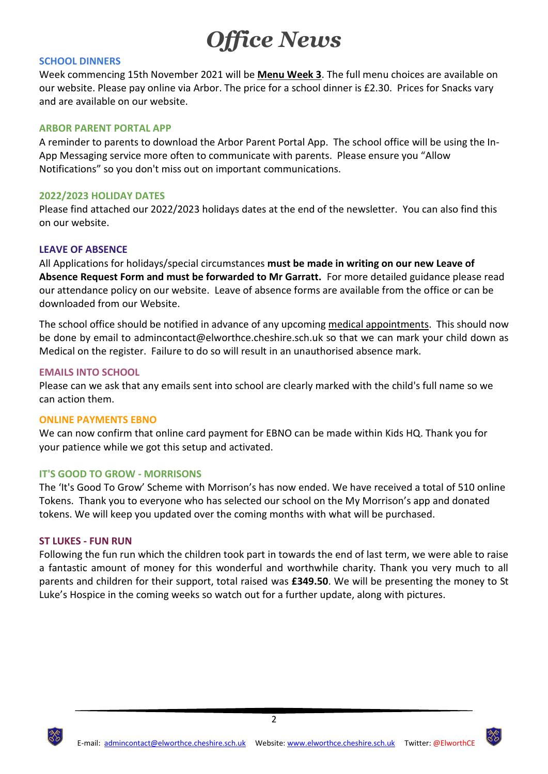# *Office News*

#### **SCHOOL DINNERS**

Week commencing 15th November 2021 will be **Menu Week 3**. The full menu choices are available on our website. Please pay online via Arbor. The price for a school dinner is £2.30. Prices for Snacks vary and are available on our website.

#### **ARBOR PARENT PORTAL APP**

A reminder to parents to download the Arbor Parent Portal App. The school office will be using the In-App Messaging service more often to communicate with parents. Please ensure you "Allow Notifications" so you don't miss out on important communications.

#### **2022/2023 HOLIDAY DATES**

Please find attached our 2022/2023 holidays dates at the end of the newsletter. You can also find this on our website.

#### **LEAVE OF ABSENCE**

All Applications for holidays/special circumstances **must be made in writing on our new Leave of Absence Request Form and must be forwarded to Mr Garratt.** For more detailed guidance please read our attendance policy on our website. Leave of absence forms are available from the office or can be downloaded from our Website.

The school office should be notified in advance of any upcoming medical appointments. This should now be done by email to admincontact@elworthce.cheshire.sch.uk so that we can mark your child down as Medical on the register. Failure to do so will result in an unauthorised absence mark.

#### **EMAILS INTO SCHOOL**

Please can we ask that any emails sent into school are clearly marked with the child's full name so we can action them.

#### **ONLINE PAYMENTS EBNO**

We can now confirm that online card payment for EBNO can be made within Kids HQ. Thank you for your patience while we got this setup and activated.

#### **IT'S GOOD TO GROW - MORRISONS**

The 'It's Good To Grow' Scheme with Morrison's has now ended. We have received a total of 510 online Tokens. Thank you to everyone who has selected our school on the My Morrison's app and donated tokens. We will keep you updated over the coming months with what will be purchased.

#### **ST LUKES - FUN RUN**

Following the fun run which the children took part in towards the end of last term, we were able to raise a fantastic amount of money for this wonderful and worthwhile charity. Thank you very much to all parents and children for their support, total raised was **£349.50**. We will be presenting the money to St Luke's Hospice in the coming weeks so watch out for a further update, along with pictures.



2

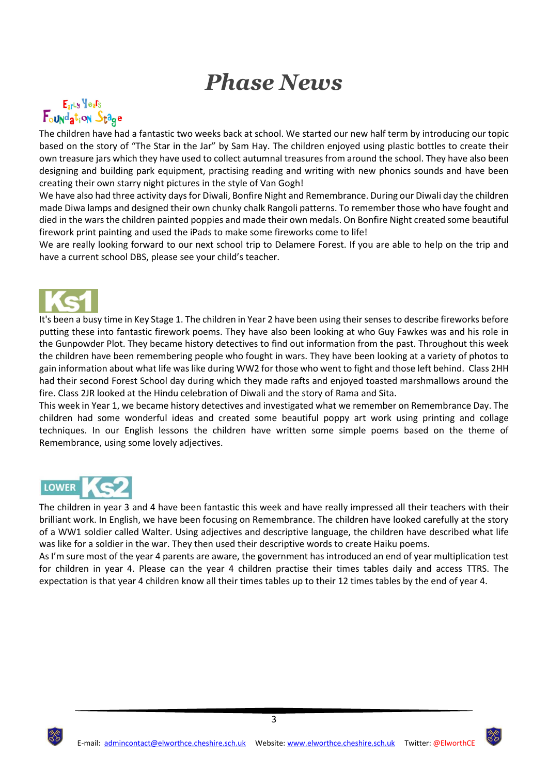## *Phase News*

### $E_{\rm ar}$ Ly  $\text{Ye}_a$  $\text{r}_s$ Foundation Stage

The children have had a fantastic two weeks back at school. We started our new half term by introducing our topic based on the story of "The Star in the Jar" by Sam Hay. The children enjoyed using plastic bottles to create their own treasure jars which they have used to collect autumnal treasures from around the school. They have also been designing and building park equipment, practising reading and writing with new phonics sounds and have been creating their own starry night pictures in the style of Van Gogh!

We have also had three activity days for Diwali, Bonfire Night and Remembrance. During our Diwali day the children made Diwa lamps and designed their own chunky chalk Rangoli patterns. To remember those who have fought and died in the wars the children painted poppies and made their own medals. On Bonfire Night created some beautiful firework print painting and used the iPads to make some fireworks come to life!

We are really looking forward to our next school trip to Delamere Forest. If you are able to help on the trip and have a current school DBS, please see your child's teacher.



It's been a busy time in Key Stage 1. The children in Year 2 have been using their senses to describe fireworks before putting these into fantastic firework poems. They have also been looking at who Guy Fawkes was and his role in the Gunpowder Plot. They became history detectives to find out information from the past. Throughout this week the children have been remembering people who fought in wars. They have been looking at a variety of photos to gain information about what life was like during WW2 for those who went to fight and those left behind. Class 2HH had their second Forest School day during which they made rafts and enjoyed toasted marshmallows around the fire. Class 2JR looked at the Hindu celebration of Diwali and the story of Rama and Sita.

This week in Year 1, we became history detectives and investigated what we remember on Remembrance Day. The children had some wonderful ideas and created some beautiful poppy art work using printing and collage techniques. In our English lessons the children have written some simple poems based on the theme of Remembrance, using some lovely adjectives.



The children in year 3 and 4 have been fantastic this week and have really impressed all their teachers with their brilliant work. In English, we have been focusing on Remembrance. The children have looked carefully at the story of a WW1 soldier called Walter. Using adjectives and descriptive language, the children have described what life was like for a soldier in the war. They then used their descriptive words to create Haiku poems.

As I'm sure most of the year 4 parents are aware, the government has introduced an end of year multiplication test for children in year 4. Please can the year 4 children practise their times tables daily and access TTRS. The expectation is that year 4 children know all their times tables up to their 12 times tables by the end of year 4.

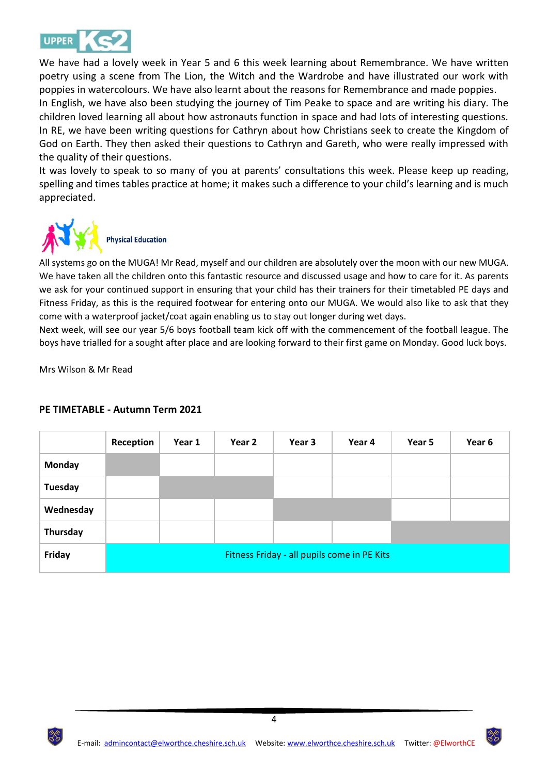

We have had a lovely week in Year 5 and 6 this week learning about Remembrance. We have written poetry using a scene from The Lion, the Witch and the Wardrobe and have illustrated our work with poppies in watercolours. We have also learnt about the reasons for Remembrance and made poppies. In English, we have also been studying the journey of Tim Peake to space and are writing his diary. The children loved learning all about how astronauts function in space and had lots of interesting questions. In RE, we have been writing questions for Cathryn about how Christians seek to create the Kingdom of God on Earth. They then asked their questions to Cathryn and Gareth, who were really impressed with the quality of their questions.

It was lovely to speak to so many of you at parents' consultations this week. Please keep up reading, spelling and times tables practice at home; it makes such a difference to your child's learning and is much appreciated.



All systems go on the MUGA! Mr Read, myself and our children are absolutely over the moon with our new MUGA. We have taken all the children onto this fantastic resource and discussed usage and how to care for it. As parents we ask for your continued support in ensuring that your child has their trainers for their timetabled PE days and Fitness Friday, as this is the required footwear for entering onto our MUGA. We would also like to ask that they come with a waterproof jacket/coat again enabling us to stay out longer during wet days.

Next week, will see our year 5/6 boys football team kick off with the commencement of the football league. The boys have trialled for a sought after place and are looking forward to their first game on Monday. Good luck boys.

Mrs Wilson & Mr Read

|               | Reception                                   | Year 1 | Year 2 | Year 3 | Year 4 | Year 5 | Year 6 |
|---------------|---------------------------------------------|--------|--------|--------|--------|--------|--------|
| <b>Monday</b> |                                             |        |        |        |        |        |        |
| Tuesday       |                                             |        |        |        |        |        |        |
| Wednesday     |                                             |        |        |        |        |        |        |
| Thursday      |                                             |        |        |        |        |        |        |
| Friday        | Fitness Friday - all pupils come in PE Kits |        |        |        |        |        |        |

#### **PE TIMETABLE - Autumn Term 2021**